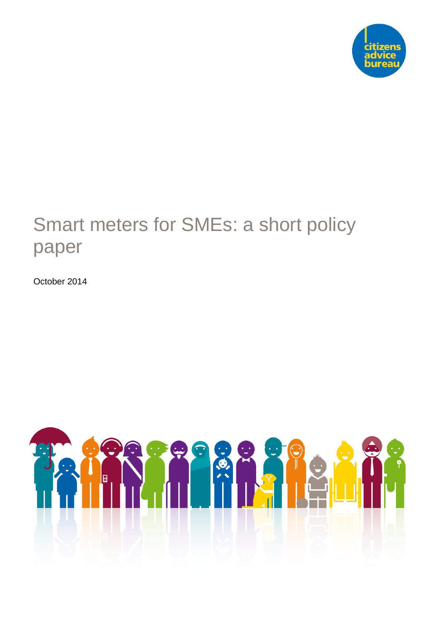

# Smart meters for SMEs: a short policy paper

October 2014

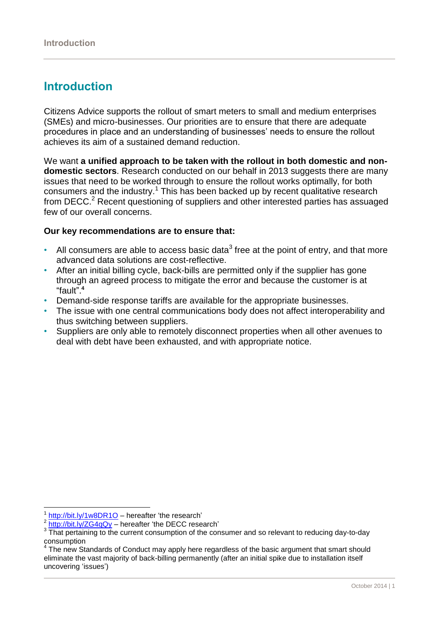# **Introduction**

Citizens Advice supports the rollout of smart meters to small and medium enterprises (SMEs) and micro-businesses. Our priorities are to ensure that there are adequate procedures in place and an understanding of businesses' needs to ensure the rollout achieves its aim of a sustained demand reduction.

We want **a unified approach to be taken with the rollout in both domestic and nondomestic sectors**. Research conducted on our behalf in 2013 suggests there are many issues that need to be worked through to ensure the rollout works optimally, for both consumers and the industry.<sup>1</sup> This has been backed up by recent qualitative research from DECC.<sup>2</sup> Recent questioning of suppliers and other interested parties has assuaged few of our overall concerns.

### **Our key recommendations are to ensure that:**

- All consumers are able to access basic data<sup>3</sup> free at the point of entry, and that more advanced data solutions are cost-reflective.
- After an initial billing cycle, back-bills are permitted only if the supplier has gone through an agreed process to mitigate the error and because the customer is at "fault". **4**
- Demand-side response tariffs are available for the appropriate businesses.
- The issue with one central communications body does not affect interoperability and thus switching between suppliers.
- Suppliers are only able to remotely disconnect properties when all other avenues to deal with debt have been exhausted, and with appropriate notice.

 $\overline{\phantom{a}}$ 

<sup>&</sup>lt;sup>1</sup> <http://bit.ly/1w8DR1O> - hereafter 'the research'

<sup>&</sup>lt;sup>2</sup> <http://bit.ly/ZG4qQy> – hereafter 'the DECC research'

<sup>3</sup> That pertaining to the current consumption of the consumer and so relevant to reducing day-to-day consumption

<sup>&</sup>lt;sup>4</sup> The new Standards of Conduct may apply here regardless of the basic argument that smart should eliminate the vast majority of back-billing permanently (after an initial spike due to installation itself uncovering 'issues')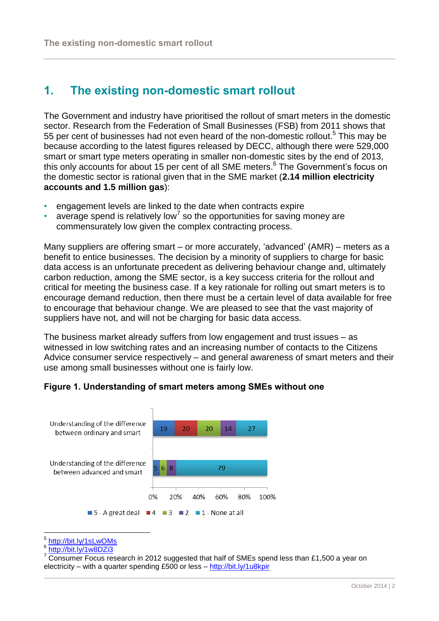### **1. The existing non-domestic smart rollout**

The Government and industry have prioritised the rollout of smart meters in the domestic sector. Research from the Federation of Small Businesses (FSB) from 2011 shows that 55 per cent of businesses had not even heard of the non-domestic rollout.<sup>5</sup> This may be because according to the latest figures released by DECC, although there were 529,000 smart or smart type meters operating in smaller non-domestic sites by the end of 2013, this only accounts for about 15 per cent of all SME meters.<sup>6</sup> The Government's focus on the domestic sector is rational given that in the SME market (**2.14 million electricity accounts and 1.5 million gas**):

- engagement levels are linked to the date when contracts expire
- average spend is relatively low<sup>7</sup> so the opportunities for saving money are commensurately low given the complex contracting process.

Many suppliers are offering smart – or more accurately, 'advanced' (AMR) – meters as a benefit to entice businesses. The decision by a minority of suppliers to charge for basic data access is an unfortunate precedent as delivering behaviour change and, ultimately carbon reduction, among the SME sector, is a key success criteria for the rollout and critical for meeting the business case. If a key rationale for rolling out smart meters is to encourage demand reduction, then there must be a certain level of data available for free to encourage that behaviour change. We are pleased to see that the vast majority of suppliers have not, and will not be charging for basic data access.

The business market already suffers from low engagement and trust issues – as witnessed in low switching rates and an increasing number of contacts to the Citizens Advice consumer service respectively – and general awareness of smart meters and their use among small businesses without one is fairly low.

### **Figure 1. Understanding of smart meters among SMEs without one**



5 <http://bit.ly/1sLwOMs>

l

<sup>6</sup> <http://bit.ly/1w8DZi3>

Consumer Focus research in 2012 suggested that half of SMEs spend less than £1,500 a year on electricity – with a quarter spending £500 or less – <http://bit.ly/1u8kpir>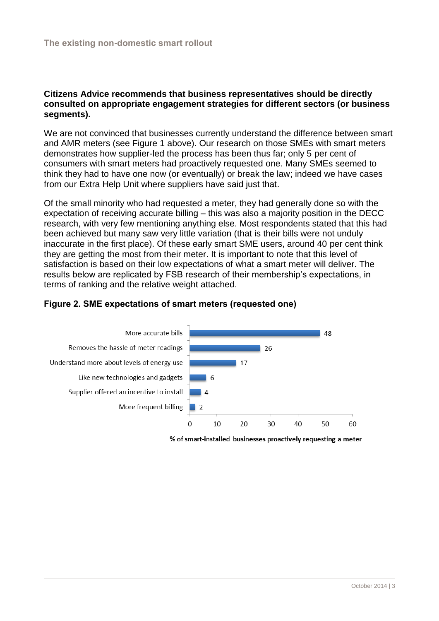### **Citizens Advice recommends that business representatives should be directly consulted on appropriate engagement strategies for different sectors (or business segments).**

We are not convinced that businesses currently understand the difference between smart and AMR meters (see Figure 1 above). Our research on those SMEs with smart meters demonstrates how supplier-led the process has been thus far; only 5 per cent of consumers with smart meters had proactively requested one. Many SMEs seemed to think they had to have one now (or eventually) or break the law; indeed we have cases from our Extra Help Unit where suppliers have said just that.

Of the small minority who had requested a meter, they had generally done so with the expectation of receiving accurate billing – this was also a majority position in the DECC research, with very few mentioning anything else. Most respondents stated that this had been achieved but many saw very little variation (that is their bills were not unduly inaccurate in the first place). Of these early smart SME users, around 40 per cent think they are getting the most from their meter. It is important to note that this level of satisfaction is based on their low expectations of what a smart meter will deliver. The results below are replicated by FSB research of their membership's expectations, in terms of ranking and the relative weight attached.

### **Figure 2. SME expectations of smart meters (requested one)**



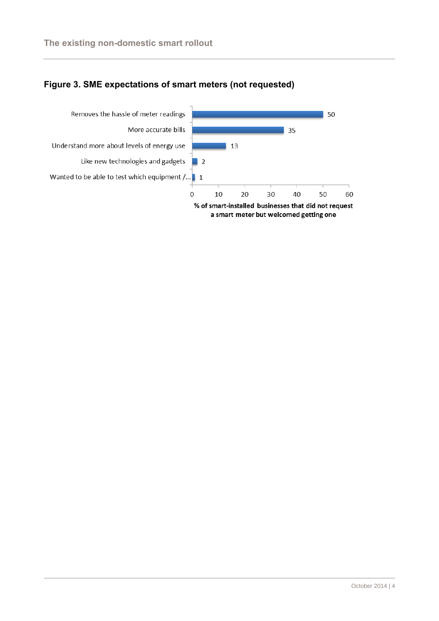### **Figure 3. SME expectations of smart meters (not requested)**

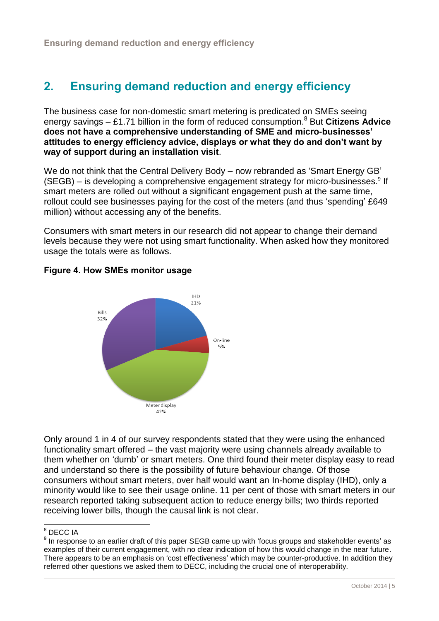# **2. Ensuring demand reduction and energy efficiency**

The business case for non-domestic smart metering is predicated on SMEs seeing energy savings – £1.71 billion in the form of reduced consumption. <sup>8</sup> But **Citizens Advice does not have a comprehensive understanding of SME and micro-businesses' attitudes to energy efficiency advice, displays or what they do and don't want by way of support during an installation visit**.

We do not think that the Central Delivery Body – now rebranded as 'Smart Energy GB' (SEGB) – is developing a comprehensive engagement strategy for micro-businesses.<sup>9</sup> If smart meters are rolled out without a significant engagement push at the same time, rollout could see businesses paying for the cost of the meters (and thus 'spending' £649 million) without accessing any of the benefits.

Consumers with smart meters in our research did not appear to change their demand levels because they were not using smart functionality. When asked how they monitored usage the totals were as follows.



### **Figure 4. How SMEs monitor usage**

Only around 1 in 4 of our survey respondents stated that they were using the enhanced functionality smart offered – the vast majority were using channels already available to them whether on 'dumb' or smart meters. One third found their meter display easy to read and understand so there is the possibility of future behaviour change. Of those consumers without smart meters, over half would want an In-home display (IHD), only a minority would like to see their usage online. 11 per cent of those with smart meters in our research reported taking subsequent action to reduce energy bills; two thirds reported receiving lower bills, though the causal link is not clear.

 $\overline{\phantom{a}}$  $^8$  DECC IA

 $9$  In response to an earlier draft of this paper SEGB came up with 'focus groups and stakeholder events' as examples of their current engagement, with no clear indication of how this would change in the near future. There appears to be an emphasis on 'cost effectiveness' which may be counter-productive. In addition they referred other questions we asked them to DECC, including the crucial one of interoperability.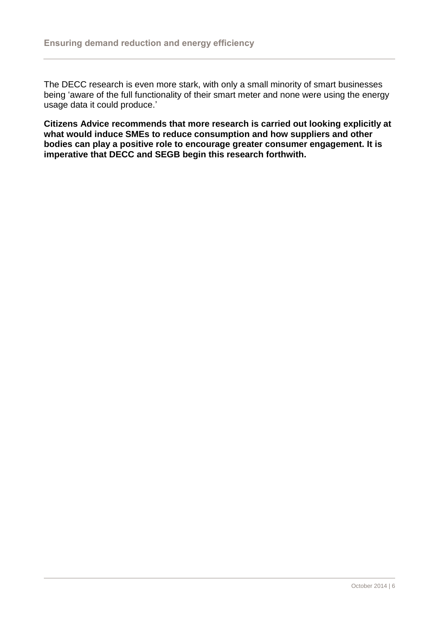The DECC research is even more stark, with only a small minority of smart businesses being 'aware of the full functionality of their smart meter and none were using the energy usage data it could produce.'

**Citizens Advice recommends that more research is carried out looking explicitly at what would induce SMEs to reduce consumption and how suppliers and other bodies can play a positive role to encourage greater consumer engagement. It is imperative that DECC and SEGB begin this research forthwith.**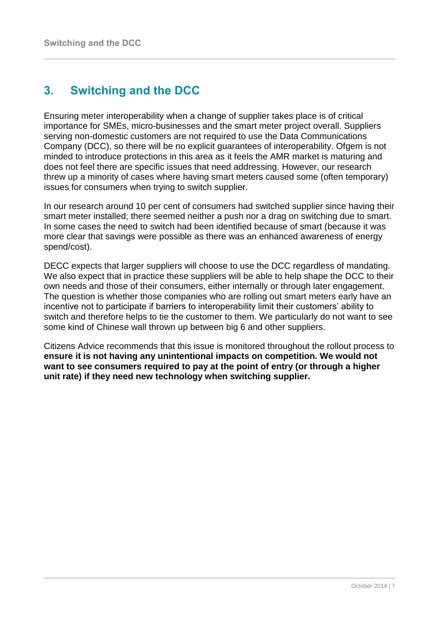# **3. Switching and the DCC**

Ensuring meter interoperability when a change of supplier takes place is of critical importance for SMEs, micro-businesses and the smart meter project overall. Suppliers serving non-domestic customers are not required to use the Data Communications Company (DCC), so there will be no explicit guarantees of interoperability. Ofgem is not minded to introduce protections in this area as it feels the AMR market is maturing and does not feel there are specific issues that need addressing. However, our research threw up a minority of cases where having smart meters caused some (often temporary) issues for consumers when trying to switch supplier.

In our research around 10 per cent of consumers had switched supplier since having their smart meter installed; there seemed neither a push nor a drag on switching due to smart. In some cases the need to switch had been identified because of smart (because it was more clear that savings were possible as there was an enhanced awareness of energy spend/cost).

DECC expects that larger suppliers will choose to use the DCC regardless of mandating. We also expect that in practice these suppliers will be able to help shape the DCC to their own needs and those of their consumers, either internally or through later engagement. The question is whether those companies who are rolling out smart meters early have an incentive not to participate if barriers to interoperability limit their customers' ability to switch and therefore helps to tie the customer to them. We particularly do not want to see some kind of Chinese wall thrown up between big 6 and other suppliers.

Citizens Advice recommends that this issue is monitored throughout the rollout process to **ensure it is not having any unintentional impacts on competition. We would not want to see consumers required to pay at the point of entry (or through a higher unit rate) if they need new technology when switching supplier.**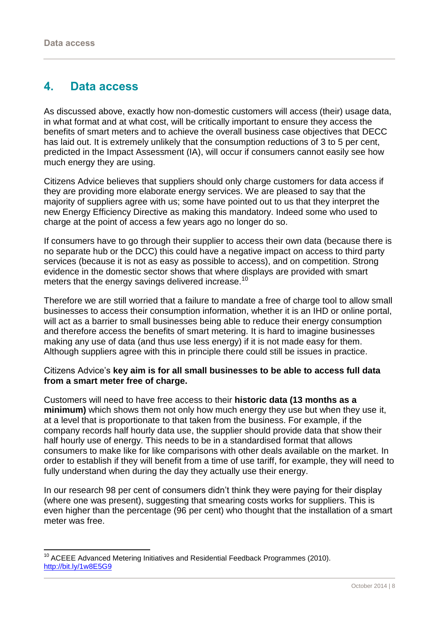$\overline{a}$ 

### **4. Data access**

As discussed above, exactly how non-domestic customers will access (their) usage data, in what format and at what cost, will be critically important to ensure they access the benefits of smart meters and to achieve the overall business case objectives that DECC has laid out. It is extremely unlikely that the consumption reductions of 3 to 5 per cent, predicted in the Impact Assessment (IA), will occur if consumers cannot easily see how much energy they are using.

Citizens Advice believes that suppliers should only charge customers for data access if they are providing more elaborate energy services. We are pleased to say that the majority of suppliers agree with us; some have pointed out to us that they interpret the new Energy Efficiency Directive as making this mandatory. Indeed some who used to charge at the point of access a few years ago no longer do so.

If consumers have to go through their supplier to access their own data (because there is no separate hub or the DCC) this could have a negative impact on access to third party services (because it is not as easy as possible to access), and on competition. Strong evidence in the domestic sector shows that where displays are provided with smart meters that the energy savings delivered increase.<sup>10</sup>

Therefore we are still worried that a failure to mandate a free of charge tool to allow small businesses to access their consumption information, whether it is an IHD or online portal, will act as a barrier to small businesses being able to reduce their energy consumption and therefore access the benefits of smart metering. It is hard to imagine businesses making any use of data (and thus use less energy) if it is not made easy for them. Although suppliers agree with this in principle there could still be issues in practice.

#### Citizens Advice's **key aim is for all small businesses to be able to access full data from a smart meter free of charge.**

Customers will need to have free access to their **historic data (13 months as a minimum)** which shows them not only how much energy they use but when they use it, at a level that is proportionate to that taken from the business. For example, if the company records half hourly data use, the supplier should provide data that show their half hourly use of energy. This needs to be in a standardised format that allows consumers to make like for like comparisons with other deals available on the market. In order to establish if they will benefit from a time of use tariff, for example, they will need to fully understand when during the day they actually use their energy.

In our research 98 per cent of consumers didn't think they were paying for their display (where one was present), suggesting that smearing costs works for suppliers. This is even higher than the percentage (96 per cent) who thought that the installation of a smart meter was free.

 $10$  ACEEE Advanced Metering Initiatives and Residential Feedback Programmes (2010). <http://bit.ly/1w8E5G9>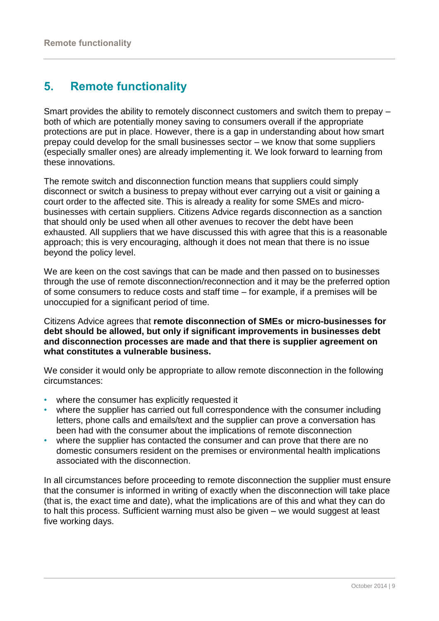# **5. Remote functionality**

Smart provides the ability to remotely disconnect customers and switch them to prepay – both of which are potentially money saving to consumers overall if the appropriate protections are put in place. However, there is a gap in understanding about how smart prepay could develop for the small businesses sector – we know that some suppliers (especially smaller ones) are already implementing it. We look forward to learning from these innovations.

The remote switch and disconnection function means that suppliers could simply disconnect or switch a business to prepay without ever carrying out a visit or gaining a court order to the affected site. This is already a reality for some SMEs and microbusinesses with certain suppliers. Citizens Advice regards disconnection as a sanction that should only be used when all other avenues to recover the debt have been exhausted. All suppliers that we have discussed this with agree that this is a reasonable approach; this is very encouraging, although it does not mean that there is no issue beyond the policy level.

We are keen on the cost savings that can be made and then passed on to businesses through the use of remote disconnection/reconnection and it may be the preferred option of some consumers to reduce costs and staff time – for example, if a premises will be unoccupied for a significant period of time.

Citizens Advice agrees that **remote disconnection of SMEs or micro-businesses for debt should be allowed, but only if significant improvements in businesses debt and disconnection processes are made and that there is supplier agreement on what constitutes a vulnerable business.**

We consider it would only be appropriate to allow remote disconnection in the following circumstances:

- where the consumer has explicitly requested it
- where the supplier has carried out full correspondence with the consumer including letters, phone calls and emails/text and the supplier can prove a conversation has been had with the consumer about the implications of remote disconnection
- where the supplier has contacted the consumer and can prove that there are no domestic consumers resident on the premises or environmental health implications associated with the disconnection.

In all circumstances before proceeding to remote disconnection the supplier must ensure that the consumer is informed in writing of exactly when the disconnection will take place (that is, the exact time and date), what the implications are of this and what they can do to halt this process. Sufficient warning must also be given – we would suggest at least five working days.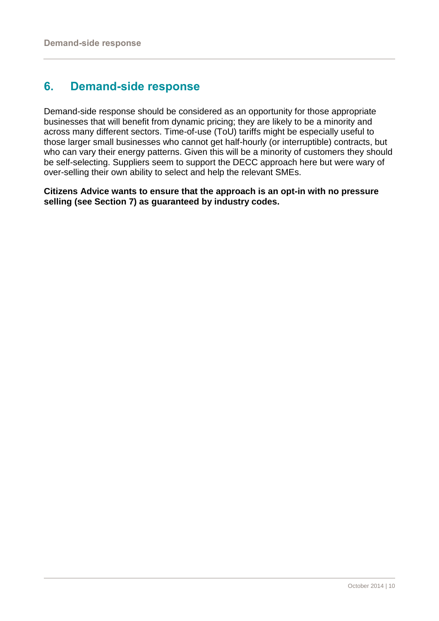# **6. Demand-side response**

Demand-side response should be considered as an opportunity for those appropriate businesses that will benefit from dynamic pricing; they are likely to be a minority and across many different sectors. Time-of-use (ToU) tariffs might be especially useful to those larger small businesses who cannot get half-hourly (or interruptible) contracts, but who can vary their energy patterns. Given this will be a minority of customers they should be self-selecting. Suppliers seem to support the DECC approach here but were wary of over-selling their own ability to select and help the relevant SMEs.

**Citizens Advice wants to ensure that the approach is an opt-in with no pressure selling (see Section 7) as guaranteed by industry codes.**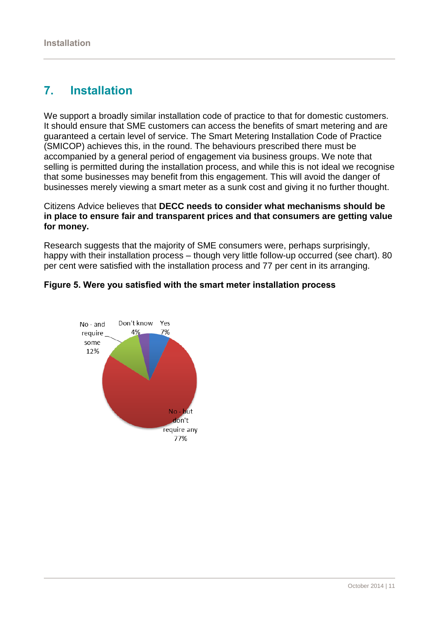# **7. Installation**

We support a broadly similar installation code of practice to that for domestic customers. It should ensure that SME customers can access the benefits of smart metering and are guaranteed a certain level of service. The Smart Metering Installation Code of Practice (SMICOP) achieves this, in the round. The behaviours prescribed there must be accompanied by a general period of engagement via business groups. We note that selling is permitted during the installation process, and while this is not ideal we recognise that some businesses may benefit from this engagement. This will avoid the danger of businesses merely viewing a smart meter as a sunk cost and giving it no further thought.

### Citizens Advice believes that **DECC needs to consider what mechanisms should be in place to ensure fair and transparent prices and that consumers are getting value for money.**

Research suggests that the majority of SME consumers were, perhaps surprisingly, happy with their installation process – though very little follow-up occurred (see chart). 80 per cent were satisfied with the installation process and 77 per cent in its arranging.

### **Figure 5. Were you satisfied with the smart meter installation process**

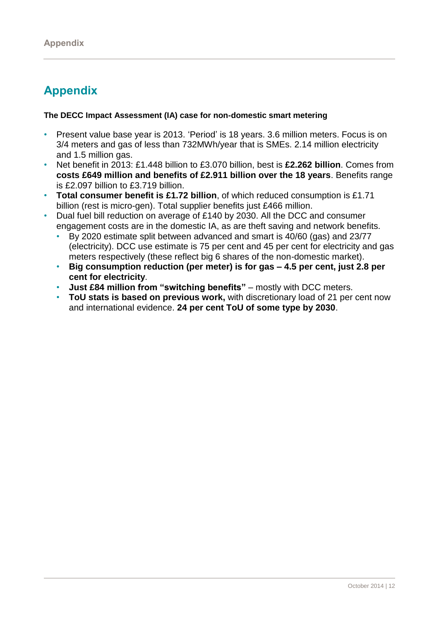# **Appendix**

#### **The DECC Impact Assessment (IA) case for non-domestic smart metering**

- Present value base year is 2013. 'Period' is 18 years. 3.6 million meters. Focus is on 3/4 meters and gas of less than 732MWh/year that is SMEs. 2.14 million electricity and 1.5 million gas.
- Net benefit in 2013: £1.448 billion to £3.070 billion, best is **£2.262 billion**. Comes from **costs £649 million and benefits of £2.911 billion over the 18 years**. Benefits range is £2.097 billion to £3.719 billion.
- **Total consumer benefit is £1.72 billion**, of which reduced consumption is £1.71 billion (rest is micro-gen). Total supplier benefits just £466 million.
- Dual fuel bill reduction on average of £140 by 2030. All the DCC and consumer engagement costs are in the domestic IA, as are theft saving and network benefits.
	- By 2020 estimate split between advanced and smart is 40/60 (gas) and 23/77 (electricity). DCC use estimate is 75 per cent and 45 per cent for electricity and gas meters respectively (these reflect big 6 shares of the non-domestic market).
	- **Big consumption reduction (per meter) is for gas – 4.5 per cent, just 2.8 per cent for electricity**.
	- **Just £84 million from "switching benefits"**  mostly with DCC meters.
	- **ToU stats is based on previous work,** with discretionary load of 21 per cent now and international evidence. **24 per cent ToU of some type by 2030**.